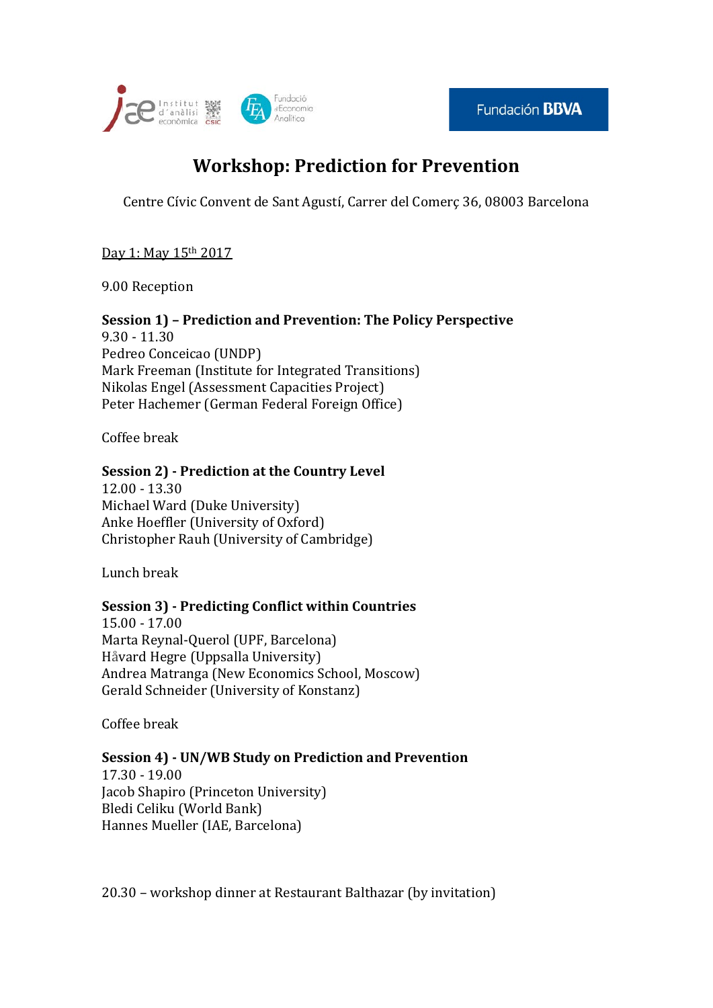



# **Workshop: Prediction for Prevention**

Centre Cívic Convent de Sant Agustí, Carrer del Comerç 36, 08003 Barcelona

Day 1: May 15th 2017

9.00 Reception

## **Session 1) – Prediction and Prevention: The Policy Perspective**

9.30 - 11.30 Pedreo Conceicao (UNDP) Mark Freeman (Institute for Integrated Transitions) Nikolas Engel (Assessment Capacities Project) Peter Hachemer (German Federal Foreign Office)

Coffee break

### **Session 2) - Prediction at the Country Level**

12.00 - 13.30 Michael Ward (Duke University) Anke Hoeffler (University of Oxford) Christopher Rauh (University of Cambridge)

Lunch break

### **Session 3) - Predicting Conflict within Countries**

15.00 - 17.00 Marta Reynal-Querol (UPF, Barcelona) Håvard Hegre (Uppsalla University) Andrea Matranga (New Economics School, Moscow) Gerald Schneider (University of Konstanz)

Coffee break

#### **Session 4) - UN/WB Study on Prediction and Prevention** 17.30 - 19.00 Jacob Shapiro (Princeton University) Bledi Celiku (World Bank)

Hannes Mueller (IAE, Barcelona)

20.30 – workshop dinner at Restaurant Balthazar (by invitation)